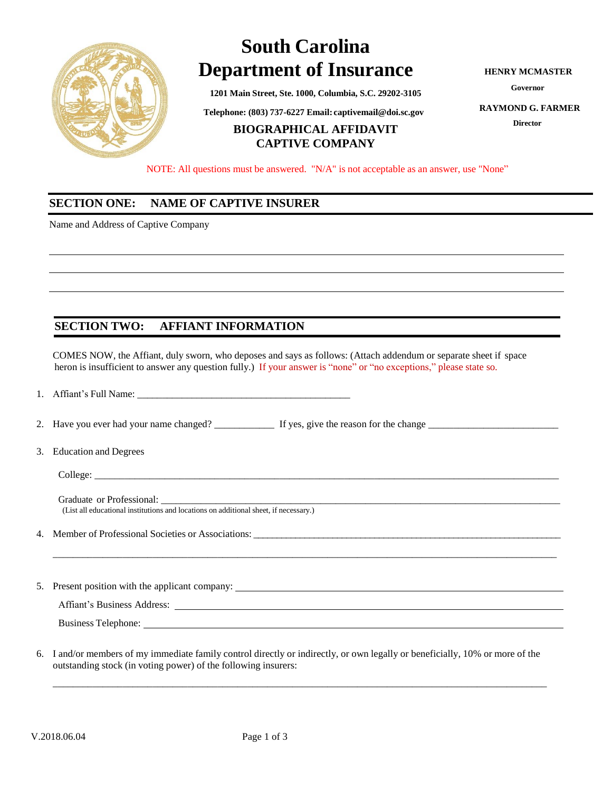

# **South Carolina Department of Insurance**

**1201 Main Street, Ste. 1000, Columbia, S.C. 29202-3105**

 **Telephone: (803) 737-6227 Email: [captivemail@doi.sc.gov](mailto:captivemail@doi.sc.gov)**

## **BIOGRAPHICAL AFFIDAVIT CAPTIVE COMPANY**

**HENRY MCMASTER**

**Governor**

**RAYMOND G. FARMER**

**Director**

NOTE: All questions must be answered. "N/A" is not acceptable as an answer, use "None"

### **SECTION ONE: NAME OF CAPTIVE INSURER**

Name and Address of Captive Company

# **SECTION TWO: AFFIANT INFORMATION**

COMES NOW, the Affiant, duly sworn, who deposes and says as follows: (Attach addendum or separate sheet if space heron is insufficient to answer any question fully.) If your answer is "none" or "no exceptions," please state so.

1. Affiant's Full Name: \_\_\_\_\_\_\_\_\_\_\_\_\_\_\_\_\_\_\_\_\_\_\_\_\_\_\_\_\_\_\_\_\_\_\_\_\_\_\_\_\_\_\_

2. Have you ever had your name changed? \_\_\_\_\_\_\_\_\_\_\_\_ If yes, give the reason for the change \_\_\_\_\_\_\_\_\_\_\_\_\_\_\_\_\_\_\_\_\_\_\_\_\_\_

3. Education and Degrees

 $\text{Collect:} \qquad \qquad$ 

Graduate or Professional: (List all educational institutions and locations on additional sheet, if necessary.)

- 4. Member of Professional Societies or Associations: \_\_\_\_\_\_\_\_\_\_\_\_\_\_\_\_\_\_\_\_\_\_\_\_\_\_\_\_\_\_\_\_\_\_\_\_\_\_\_\_\_\_\_\_\_\_\_\_\_\_\_\_\_\_\_\_\_\_\_\_\_\_\_\_\_\_
- 5. Present position with the applicant company:

Affiant's Business Address:

Business Telephone:

6. I and/or members of my immediate family control directly or indirectly, or own legally or beneficially, 10% or more of the outstanding stock (in voting power) of the following insurers:

\_\_\_\_\_\_\_\_\_\_\_\_\_\_\_\_\_\_\_\_\_\_\_\_\_\_\_\_\_\_\_\_\_\_\_\_\_\_\_\_\_\_\_\_\_\_\_\_\_\_\_\_\_\_\_\_\_\_\_\_\_\_\_\_\_\_\_\_\_\_\_\_\_\_\_\_\_\_\_\_\_\_\_\_\_\_\_\_\_\_\_\_\_\_\_\_\_\_\_

\_\_\_\_\_\_\_\_\_\_\_\_\_\_\_\_\_\_\_\_\_\_\_\_\_\_\_\_\_\_\_\_\_\_\_\_\_\_\_\_\_\_\_\_\_\_\_\_\_\_\_\_\_\_\_\_\_\_\_\_\_\_\_\_\_\_\_\_\_\_\_\_\_\_\_\_\_\_\_\_\_\_\_\_\_\_\_\_\_\_\_\_\_\_\_\_\_\_\_\_\_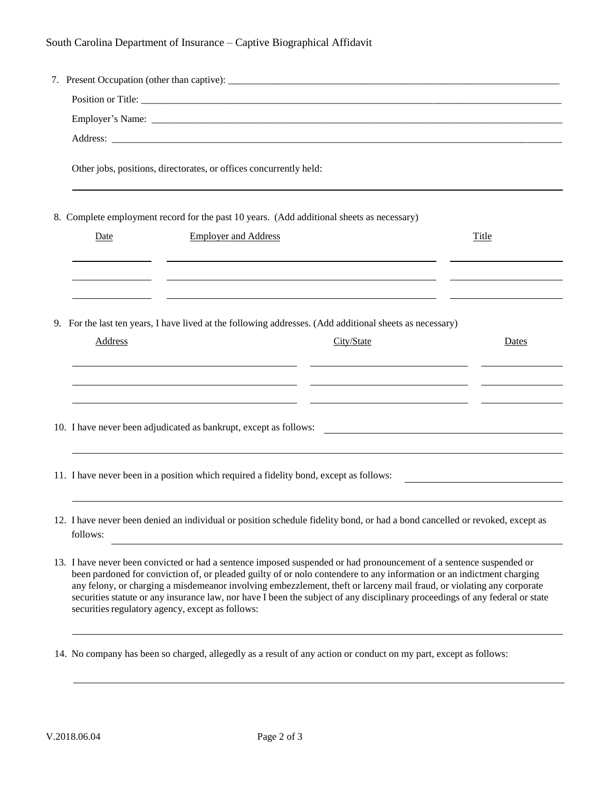| Other jobs, positions, directorates, or offices concurrently held:<br>8. Complete employment record for the past 10 years. (Add additional sheets as necessary)<br><b>Employer and Address</b><br>Date | Title |
|--------------------------------------------------------------------------------------------------------------------------------------------------------------------------------------------------------|-------|
|                                                                                                                                                                                                        |       |
|                                                                                                                                                                                                        |       |
|                                                                                                                                                                                                        |       |
|                                                                                                                                                                                                        |       |
|                                                                                                                                                                                                        |       |
|                                                                                                                                                                                                        |       |
|                                                                                                                                                                                                        |       |
|                                                                                                                                                                                                        |       |
| 9. For the last ten years, I have lived at the following addresses. (Add additional sheets as necessary)                                                                                               |       |
| <b>Address</b><br>City/State                                                                                                                                                                           | Dates |
|                                                                                                                                                                                                        |       |
|                                                                                                                                                                                                        |       |
| 10. I have never been adjudicated as bankrupt, except as follows:                                                                                                                                      |       |
|                                                                                                                                                                                                        |       |
| 11. I have never been in a position which required a fidelity bond, except as follows:                                                                                                                 |       |
|                                                                                                                                                                                                        |       |
| 12. I have never been denied an individual or position schedule fidelity bond, or had a bond cancelled or revoked, except as<br>follows:                                                               |       |

13. I have never been convicted or had a sentence imposed suspended or had pronouncement of a sentence suspended or been pardoned for conviction of, or pleaded guilty of or nolo contendere to any information or an indictment charging any felony, or charging a misdemeanor involving embezzlement, theft or larceny mail fraud, or violating any corporate securities statute or any insurance law, nor have I been the subject of any disciplinary proceedings of any federal or state securities regulatory agency, except as follows:

14. No company has been so charged, allegedly as a result of any action or conduct on my part, except as follows: